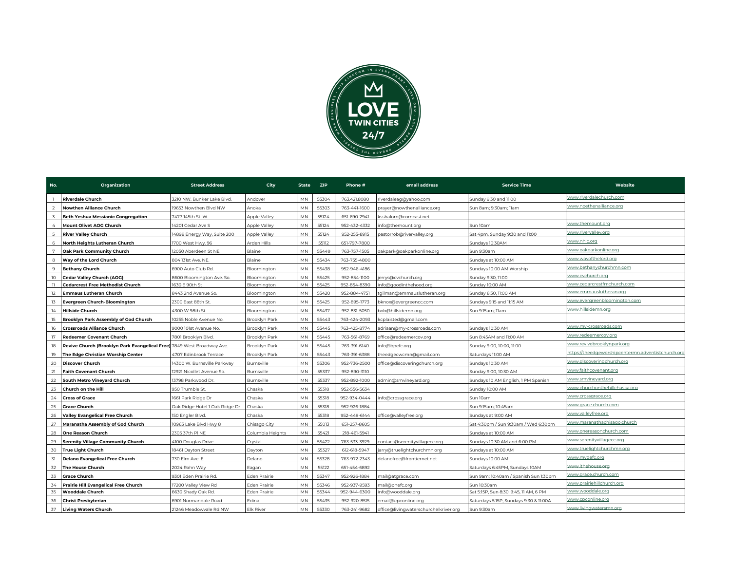

| No.                     | Organization                                                           | <b>Street Address</b>          | City                | <b>State</b> | <b>ZIP</b> | Phone#       | email address                         | <b>Service Time</b>                    | Website                                            |
|-------------------------|------------------------------------------------------------------------|--------------------------------|---------------------|--------------|------------|--------------|---------------------------------------|----------------------------------------|----------------------------------------------------|
|                         | <b>Riverdale Church</b>                                                | 3210 NW. Bunker Lake Blvd.     | Andover             | <b>MN</b>    | 55304      | 763.421.8080 | riverdaleag@yahoo.com                 | Sunday 9:30 and 11:00                  | www.riverdalechurch.com                            |
| $\overline{2}$          | <b>Nowthen Alliance Church</b>                                         | 9653 Nowthen Blvd NW           | Anoka               | <b>MN</b>    | 55303      | 763-441-1600 | prayer@nowthenalliance.org            | Sun 8am; 9:30am; 11am                  | www.noethenalliance.org                            |
| $\overline{3}$          | <b>Beth Yeshua Messianic Congregation</b>                              | 7477 145th St. W.              | <b>Apple Valley</b> | <b>MN</b>    | 55124      | 651-690-2941 | csshalom@comcast.net                  |                                        |                                                    |
| 4                       | Mount Olivet AOG Church                                                | 4201 Cedar Ave S               | Apple Valley        | <b>MN</b>    | 55124      | 952-432-4332 | nfo@themount.org                      | Sun 10am                               | www.themount.org                                   |
| 5                       | <b>River Valley Church</b>                                             | 4898 Energy Way, Suite 200     | Apple Valley        | MN           | 55124      | 952-255-8915 | bastorrob@rivervalley.org             | Sat 4pm, Sunday 9:30 and 11:00         | www.rivervallev.org                                |
| 6                       | North Heights Lutheran Church                                          | 1700 West Hwy. 96              | Arden Hills         | <b>MN</b>    | 55112      | 651-797-7800 |                                       | Sundays 10:30AM                        | www.nhlc.org                                       |
| 7                       | <b>Oak Park Community Church</b>                                       | 12050 Aberdeen St NE           | Blaine              | MN           | 55449      | 763-757-1505 | pakpark@oakparkonline.org             | Sun 9:30am                             | www.oakparkonline.org                              |
| 8                       | Way of the Lord Church                                                 | 804 131st Ave. NE.             | Blaine              | MN           | 55434      | 763-755-4800 |                                       | Sundays at 10:00 AM                    | www.wayofthelord.org                               |
| 9                       | <b>Bethany Church</b>                                                  | 6900 Auto Club Rd.             | Bloomington         | MN           | 55438      | 952-946-4186 |                                       | Sundays 10:00 AM Worship               | www.bethanychurchmn.com                            |
| 10                      | Cedar Valley Church (AOG)                                              | 8600 Bloomington Ave. So.      | Bloomington         | MN           | 55425      | 952-854-1100 | jerrys@cvchurch.org                   | Sunday 9:30, 11:00                     | www.cvchurch.org                                   |
| $\overline{\mathbf{1}}$ | <b>Cedarcrest Free Methodist Church</b>                                | 1630 E 90th St                 | Bloomington         | MN           | 55425      | 952-854-8390 | info@goodinthehood.org                | Sunday 10:00 AM                        | www.cedarcrestfmchurch.com                         |
| 12                      | <b>Emmaus Lutheran Church</b>                                          | 8443 2nd Avenue So.            | Bloomington         | MN           | 55420      | 952-884-4751 | tgilman@emmauslutheran.org            | Sunday 8:30, 11:00 AM                  | www.emmauslutheran.org                             |
| 13                      | Evergreen Church-Bloomington                                           | 2300 East 88th St              | Bloomington         | MN           | 55425      | 952-895-1773 | bknox@evergreencc.com                 | Sundays 9:15 and 11:15 AM              | www.evergreenbloomington.com                       |
| 14                      | <b>Hillside Church</b>                                                 | 4300 W 98th St                 | Bloomington         | MN           | 55437      | 952-831-5050 | bob@hillsidemn.org                    | Sun 9:15am; 11am                       | www.hillsidemn.org                                 |
| 15                      | Brooklyn Park Assembly of God Church                                   | 10255 Noble Avenue No.         | Brooklyn Park       | MN           | 55443      | 763-424-2093 | kcplaisted@gmail.com                  |                                        |                                                    |
| 16                      | <b>Crossroads Alliance Church</b>                                      | 9000 101st Avenue No.          | Brooklyn Park       | MN           | 55445      | 763-425-8774 | adriaan@my-crossroads.com             | Sundays 10:30 AM                       | www.my-crossroads.com                              |
| 17                      | <b>Redeemer Covenant Church</b>                                        | 7801 Brooklyn Blvd.            | Brooklyn Park       | MN           | 55445      | 763-561-8769 | office@redeemercov.org                | Sun 8:45AM and 11:00 AM                | www.redeemercov.org                                |
| 18                      | Revive Church (Brooklyn Park Evangelical Free) 7849 West Broadway Ave. |                                | Brooklyn Park       | <b>MN</b>    | 55445      | 763-391-6140 | nfo@bpefc.org                         | Sunday 9:00, 10:00, 11:00              | www.revivebrooklynpark.org                         |
| 19                      | The Edge Christian Worship Center                                      | 4707 Edinbrook Terrace         | Brooklyn Park       | <b>MN</b>    | 55443      | 763-391-6388 | heedgecwcmn@gmail.com                 | Saturdays 11:00 AM                     | nttps://theedgeworshipcentermn.adventistchurch.orc |
| 20                      | <b>Discover Church</b>                                                 | 4300 W. Burnsville Parkway     | Burnsville          | <b>MN</b>    | 55306      | 952-736-2500 | office@discoveringchurch.org          | Sundays 10:30 AM                       | www.discoveringchurch.org                          |
| 21                      | <b>Faith Covenant Church</b>                                           | 12921 Nicollet Avenue So.      | Burnsville          | <b>MN</b>    | 55337      | 952-890-3110 |                                       | Sunday 9:00, 10:30 AM                  | www.faithcovenant.org                              |
| 22                      | South Metro Vineyard Church                                            | 13798 Parkwood Dr              | Burnsville          | MN           | 55337      | 952-892-1000 | admin@smvineyard.org                  | Sundays 10 AM English, 1 PM Spanish    | www.smvineyard.org                                 |
| 23                      | Church on the Hill                                                     | 950 Trumble St                 | Chaska              | MN           | 55318      | 952-556-5634 |                                       | Sunday 10:00 AM                        | www.churchonthehillchaska.org                      |
| 24                      | <b>Cross of Grace</b>                                                  | 661 Park Ridge Dr              | Chaska              | MN           | 55318      | 952-934-0444 | info@crossgrace.org                   | Sun 10am                               | www.crossgrace.org                                 |
| 25                      | <b>Grace Church</b>                                                    | Oak Ridge Hotel 1 Oak Ridge Dr | Chaska              | MN           | 55318      | 952-926-1884 |                                       | Sun 9:15am; 10:45am                    | www.grace.church.com                               |
| 26                      | <b>Valley Evangelical Free Church</b>                                  | 50 Engler Blvd                 | Chaska              | MN           | 55318      | 952-448-6144 | office@valleyfree.org                 | Sundays at 9:00 AM                     | www.vallevfree.org                                 |
| 27                      | Maranatha Assembly of God Church                                       | 10963 Lake Blvd Hwy 8          | Chisago City        | <b>MN</b>    | 55013      | 651-257-8605 |                                       | Sat 4:30pm / Sun 9:30am / Wed 6:30pm   | www.maranathachisago.church                        |
| 28                      | One Reason Church                                                      | 2305 37th PINE                 | Columbia Heights    | MN           | 55421      | 218-461-5941 |                                       | Sundays at 10:00 AM                    | www.onereasonchurch.com                            |
| 29                      | <b>Serenity Village Community Church</b>                               | 4100 Douglas Drive             | Crystal             | MN           | 55422      | 763-533-3929 | contact@serenityvillagecc.org         | Sundays 10:30 AM and 6:00 PM           | www.serenityvillagecc.org                          |
| 30                      | True Light Church                                                      | 18461 Dayton Street            | Dayton              | MN           | 55327      | 612-618-5947 | arry@truelightchurchmn.org            | Sundays at 10:00 AM                    | www.truelightchurchmn.org                          |
| 31                      | Delano Evangelical Free Church                                         | 730 Elm Ave. E.                | Delano              | MN           | 55328      | 763-972-2343 | delanofree@frontiernet.net            | Sundays 10:00 AM                       | www.mydefc.org                                     |
| 32                      | The House Church                                                       | 2024 Rahn Wav                  | Eagan               | <b>MN</b>    | 55122      | 651-454-6892 |                                       | Saturdays 6:45PM, Sundays 10AM         | www.ithehouse.org                                  |
| 33                      | <b>Grace Church</b>                                                    | 9301 Eden Prairie Rd.          | <b>Eden Prairie</b> | <b>MN</b>    | 55347      | 952-926-1884 | mail@atgrace.com                      | Sun 9am; 10:40am / Spanish Sun 1:30pm  | www.grace.church.com                               |
| 34                      | <b>Prairie Hill Evangelical Free Church</b>                            | 17200 Valley View Rd           | Eden Prairie        | MN           | 55346      | 952-937-9593 | mail@phefc.org                        | Sun 10:30am                            | www.prairiehillchurch.org                          |
| 35                      | <b>Wooddale Church</b>                                                 | 6630 Shady Oak Rd.             | Eden Prairie        | <b>MN</b>    | 55344      | 952-944-6300 | info@wooddale.org                     | Sat 5:15P, Sun 8:30, 9:45, 11 AM, 6 PM | www.wooddale.org                                   |
| 36                      | <b>Christ Presbyterian</b>                                             | 6901 Normandale Road           | Edina               | <b>MN</b>    | 55435      | 952-920-8515 | email@cpconline.org                   | Saturdays 5:15P, Sundays 9:30 & 11:00A | www.cpconline.org                                  |
| 37                      | <b>Living Waters Church</b>                                            | 21246 Meadowyale Rd NW         | <b>Elk River</b>    | MN           | 55330      | 763-241-9682 | office@livingwaterschurchelkriver.org | Sun 9:30am                             | www.livingwatersmn.org                             |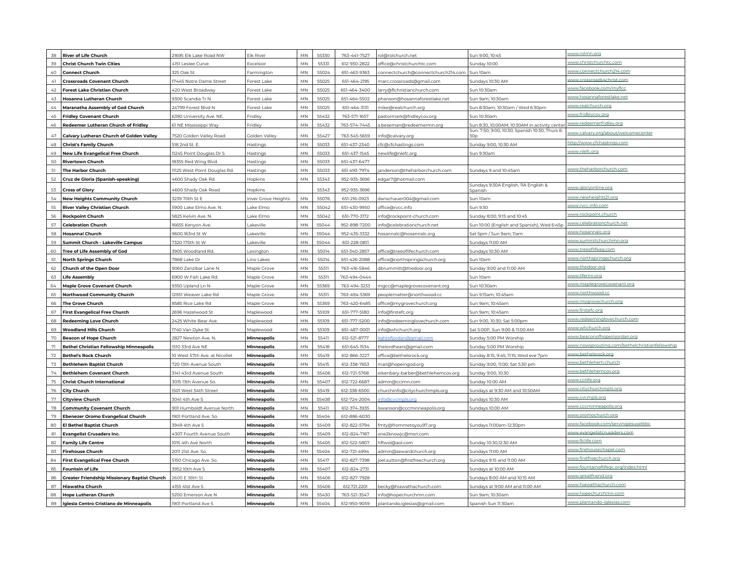| 38 | <b>River of Life Church</b>                         | 21695 Elk Lake Road NW        | Elk River          | MN         | 55330 | 763-441-7527 | rol@rolchurch.net                  | Sun 9:00, 10:45                                        | www.rolmn.org                                  |
|----|-----------------------------------------------------|-------------------------------|--------------------|------------|-------|--------------|------------------------------------|--------------------------------------------------------|------------------------------------------------|
| 39 | <b>Christ Church Twin Cities</b>                    | 4151 Leslee Curve             | Excelsior          | <b>MN</b>  | 55331 | 612-930-2822 | office@christchurchtc.com          | Sunday 10:00                                           | www.christchurchtc.com                         |
| 40 | Connect Church                                      | 325 Oak St                    | Farmington         | MN         | 55024 | 651-463-9363 | connectchurch@connectchurch214.com | Sun 10am                                               | www.connectchurch214.com                       |
| 41 | <b>Crossroads Covenant Church</b>                   | 17445 Notre Dame Street       | Forest Lake        | MN         | 55025 | 651-464-2195 | marc.crossroads@gmail.com          | Sundays 10:30 AM                                       | www.crossroads4christ.com                      |
| 42 | <b>Forest Lake Christian Church</b>                 | 420 West Broadway             | Forest Lake        | MN         | 55025 | 651-464-3400 | larry@flchristianchurch.com        | Sun 10:30am                                            | <u>www.facebook.com/myflcc</u>                 |
| 43 | Hosanna Lutheran Church                             | 9300 Scandia Tr N             | Forest Lake        | MN         | 55025 | 651-464-5502 | phanson@hosannaforestlake.net      | Sun 9am; 10:30am                                       | www.hosannaforestlake.net                      |
| 44 | Maranatha Assembly of God Church                    | 24799 Forest Blvd N           | Forest Lake        | MN         | 55025 | 651-464-3131 | mike@realchurch.org                | Sun 8:30am; 10:30am / Wed 6:30pm                       | www.realchurch.org                             |
| 45 | <b>Fridley Covenant Church</b>                      | 6390 University Ave. NE.      | Fridley            | MN         | 55432 | 763-571-1657 | pastormark@fridleycov.org          | Sun 10:30am                                            | www.fridleycov.org                             |
| 46 | Redeemer Lutheran Church of Fridley                 | 61 NE Mississippi Way         | Fridley            | MN         | 55432 | 763-574-7445 | a.beseman@redeemermn.org           | Sun 8:30, 10:00AM; 10:30AM in activity center          | www.redeemerfridley.org                        |
| 47 | Calvary Lutheran Church of Golden Valley            | 7520 Golden Valley Road       | Golden Valley      | MN         | 55427 | 763-545-5659 | info@calvary.org                   | Sun. 7:50, 9:00, 10:30; Spanish 10:30; Thurs 6:<br>30n | www.calvary.org/about/welcomecenter            |
| 48 | <b>Christ's Family Church</b>                       | 518 2nd St. E.                | Hastings           | MN         | 55033 | 651-437-2340 | cfc@cfchastings.com                | Sunday 9:00, 10:30 AM                                  | <u>http://www.cfchastings.com</u>              |
| 49 | New Life Evangelical Free Church                    | 11245 Point Douglas Dr S      | Hastings           | MN         | 55033 | 651-437-1545 | newlife@nlefc.org                  | Sun 9:30am                                             | www.nlefc.org                                  |
| 50 | <b>Rivertown Church</b>                             | 18355 Red Wing Blvd.          | Hastings           | MN         | 55033 | 651-437-6477 |                                    |                                                        |                                                |
| 51 | The Harbor Church                                   | 1125 West Point Douglas Rd.   | Hastings           | MN         | 55033 | 651 493-7974 | anderson@theharborchurch.com       | Sundays 9 and 10:45am                                  | www.theharborchurch.com                        |
| 52 | Cruz de Gloria (Spanish-speaking)                   | 4600 Shady Oak Rd.            | Hopkins            | MN         | 55343 | 952-935-3696 | edgar7@hotmail.com                 |                                                        |                                                |
| 53 | <b>Cross of Glory</b>                               | 4600 Shady Oak Road           | Hopkins            |            | 55343 | 952-935-3696 |                                    | Sundays 9:30A English, 11A English &<br>Spanish        | www.gloryonline.org                            |
| 54 | <b>New Heights Community Church</b>                 | 3239 70th St E                | nver Grove Heights | MN         | 55076 | 651-216-0923 | danschauer004@gmail.com            | Sun 10am                                               | www.newheiahts21.org                           |
| 55 | <b>River Valley Christian Church</b>                | 5900 Lake Elmo Ave. N.        | ake Elmo           | MN         | 55042 | 651-430-9950 | office@rvcc.info                   | Sun 9:30                                               | www.rvcc.info.com                              |
| 56 | <b>Rockpoint Church</b>                             | 5825 Kelvin Ave. N            | ake Elmo           | <b>MN</b>  | 55042 | 651-770-3172 | info@rockpoint-church.com          | Sunday 8:00, 9:15 and 10:45                            | www.rockpoint.church                           |
| 57 | <b>Celebration Church</b>                           | 16655 Kenyon Ave.             | akeville           | MN         | 55044 | 952-898-7200 | info@celebrationchurch.net         | Sun 10:00 (English and Spanish); Wed 6:45p             | www.celebrationchurch.net                      |
| 58 | Hosanna! Church                                     | 9600 163rd St W               | _akeville          | MN         | 55044 | 952-435-3332 | hosannalc@hosannalc.org            | Sat 5pm / Sun 9am; 11am                                | www.hosannalc.org                              |
| 59 | Summit Church - Lakeville Campus                    | 7320 175th St W               | akeville           | MN         | 55044 | 651-228-0811 |                                    | Sundays 11:00 AM                                       | www.summitchurchmn.org                         |
| 60 | Tree of Life Assembly of God                        | 3905 Woodland Rd.             | _exington          | MN         | 55014 | 651-340-2857 | office@treeoflifechurch.com        | Sundays 10:30 AM                                       | www.treeoflifeag.com                           |
| 61 | <b>North Springs Church</b>                         | 7868 Lake Dr                  | ino Lakes          | MN         | 55014 | 651-426-2088 | office@northspringschurch.org      | Sun 10am                                               | www.northspringschurch.org                     |
| 62 | Church of the Open Door                             | 9060 Zanzibar Lane N.         | Maple Grove        | MN         | 55311 | 763-416-5846 | dbrummitt@thedoor.org              | Sunday 9:00 and 11:00 AM                               | www.thedoor.org                                |
| 63 | <b>Life Assembly</b>                                | 6900 W Fish Lake Rd.          | Maple Grove        | MN         | 55311 | 763-494-0444 |                                    | Sun 10am                                               | www.lifemn.org                                 |
| 64 | Maple Grove Covenant Church                         | 9350 Upland Ln N              | Maple Grove        | MN         | 55369 | 763-494-3233 | mgcc@maplegrovecovenant.org        | Sun 10:30am                                            | www.maplegrovecovenant.org                     |
| 65 | Northwood Community Church                          | 12951 Weaver Lake Rd          | Maple Grove        | MN         | 55311 | 763-494-5369 | peoplematter@northwood.cc          | Sun 9:15am; 10:45am                                    | www.northwood.cc                               |
| 66 | The Grove Church                                    | 8585 Rice Lake Rd             | Maple Grove        | MN         | 55369 | 763-420-6485 | office@mygrovechurch.org           | Sun 9am; 10:45am                                       | www.mygrovechurch.org                          |
| 67 | <b>First Evangelical Free Church</b>                | 2696 Hazelwood St             | Maplewood          | MN         | 55109 | 651-777-5180 | info@firstefc.org                  | Sun 9am; 10:45am                                       | www.firstefc.org                               |
| 68 | <b>Redeeming Love Church</b>                        | 2425 White Bear Ave           | Maplewood          | MN         | 55109 | 651-777-5200 | info@redeeminglovechurch.com       | Sun 9:00, 10:30; Sat 5:00pm                            | www.redeeminglovechurch.com                    |
| 69 | <b>Woodland Hills Church</b>                        | 1740 Van Dyke St.             | Maplewood          | MN         | 55109 | 651-487-0001 | info@whchurch.org                  | Sat 5:00P, Sun 9:00 & 11:00 AM                         | www.whchurch.org                               |
| 70 | <b>Beacon of Hope Church</b>                        | 2827 Newton Ave. N.           | <b>Minneapolis</b> | <b>MN</b>  | 55411 | 612-521-8777 | ahtofiordan@gmail.com              | Sunday 5:00 PM Worship                                 | www.beaconofhopeinjordan.org                   |
| 71 | Bethel Christian Fellowship Minneapolis             | 1510 33rd Ave NE              | Minneapolis        | MN         | 55418 | 651-645-1534 | thelordhears@gmail.com             | Sunday 5:00 PM Worship                                 | www.nowsprouting.com/bethelchristianfellowship |
| 72 | <b>Bethel's Rock Church</b>                         | 10 West 57th Ave. at Nicollet | Minneapolis        | ${\sf MN}$ | 55419 | 612-866-3227 | office@bethelsrock.org             | Sunday 8:15, 9:45, 11:15; Wed eve 7pm                  | www.bethelsrock.org                            |
| 73 | <b>Bethlehem Baptist Church</b>                     | 720 13th Avenue South         | Minneapolis        | <b>MN</b>  | 55415 | 612-338-7653 | mail@hopeingod.org                 | Sunday 9:00, 11:00; Sat 5:30 pm                        | www.bethlehem.church                           |
| 74 | <b>Bethlehem Covenant Church</b>                    | 3141 43rd Avenue South        | Minneapolis        | MN         | 55406 | 612-721-5768 | eikenbary-barber@bethlehemcov.org  | Sunday 9:00, 10:30                                     | www.bethlehemcov.org                           |
| 75 | <b>Christ Church International</b>                  | 3015 13th Avenue So           | Minneapolis        | MN         | 55407 | 612-722-6687 | admin@ccimn.com                    | Sunday 10:00 AM                                        | www.ccilife.org                                |
| 76 | <b>City Church</b>                                  | 1501 West 54th Street         | Minneapolis        | MN         | 55419 | 612-338-6500 | churchinfo@citychurchmpls.org      | Sundays at 9:30 AM and 10:50AM                         | www.citychurchmpls.org                         |
| 77 | <b>Cityview Church</b>                              | 3041 4th Ave S                | Minneapolis        | MN         | 55408 | 612-724-2004 | nfo@cvcmpls.orc                    | Sundays 10:30 AM                                       | www.cvcmpls.org                                |
| 78 | <b>Community Covenant Church</b>                    | 901 Humboldt Avenue North     | Minneapolis        | MN         | 55411 | 612-374-3935 | lswanson@cccminneapolis.org        | Sundays 10:00 AM                                       | www.cccminneapolis.org                         |
| 79 | <b>Ebenezer Oromo Evangelical Church</b>            | 1901 Portland Ave. So.        | Minneapolis        | ${\sf MN}$ | 55404 | 612-886-6030 |                                    |                                                        | www.oromochurch.org                            |
| 80 | <b>El Bethel Baptist Church</b>                     | 3949 4th Ave S                | Minneapolis        | <b>MN</b>  | 55409 | 612-822-5794 | fmty@frommetoyou97.org             | Sundays 11:00am-12:30pm                                | www.facebook.com/servingjesuselbbc             |
| 81 | <b>Evangelist Crusaders Inc.</b>                    | 4307 Fourth Avenue South      | Minneapolis        | MN         | 55409 | 612-824-7187 | one2knowjc@msn.com                 |                                                        | www.evangelistcrusaders.com                    |
| 82 | <b>Family Life Centre</b>                           | 1015 4th Ave North            | Minneapolis        | MN         | 55405 | 612-522-5807 | hftwol@aol.com                     | Sunday 10:30,12:30 AM                                  | www.flclife.com                                |
| 83 | Firehouse Church                                    | 2011 21st Ave. So.            | Minneapolis        | <b>MN</b>  | 55404 | 612-721-4994 | admin@sewardchurch.org             | Sundays 11:00 AM                                       | www.firehousechapel.com                        |
| 84 | <b>First Evangelical Free Church</b>                | 5150 Chicago Ave. So.         | Minneapolis        | MN         | 55417 | 612-827-7398 | joel.sutton@firstfreechurch.org    | Sundays 9:15 and 11:00 AM                              | www.firstfreechurch.org                        |
| 85 | <b>Fountain of Life</b>                             | 3952 10th Ave S               | Minneapolis        | MN         | 55407 | 612-824-2731 |                                    | Sundays at 10:00 AM                                    | www.fountainoflifegc.org/index.html            |
| 86 | <b>Greater Friendship Missionary Baptist Church</b> | 2600 E 38th St                | Minneapolis        | MN         | 55406 | 612-827-7928 |                                    | Sundays 8:00 AM and 10:15 AM                           | www.greatfriend.org                            |
| 87 | <b>Hiawatha Church</b>                              | 4155 41st Ave S               | Minneapolis        | MN         | 55406 | 612.721.2201 | becky@hiawathachurch.com           | Sundays at 9:00 AM and 11:00 AM                        | www.hiawathachurch.com                         |
| 88 | Hope Lutheran Church                                | 5200 Emerson Ave N            | Minneapolis        | MN         | 55430 | 763-521-3547 | info@hopechurchmn.com              | Sun 9am; 10:30am                                       | www.hopechurchmn.com                           |
| 89 | Iglesia Centro Cristiano de Minneapolis             | 1901 Portland Ave S           | Minneapolis        | <b>MN</b>  | 55404 | 612-950-9059 | plantando.iglesias@gmail.com       | Spanish Sun 11:30am                                    | www.plantando-iglesias.com                     |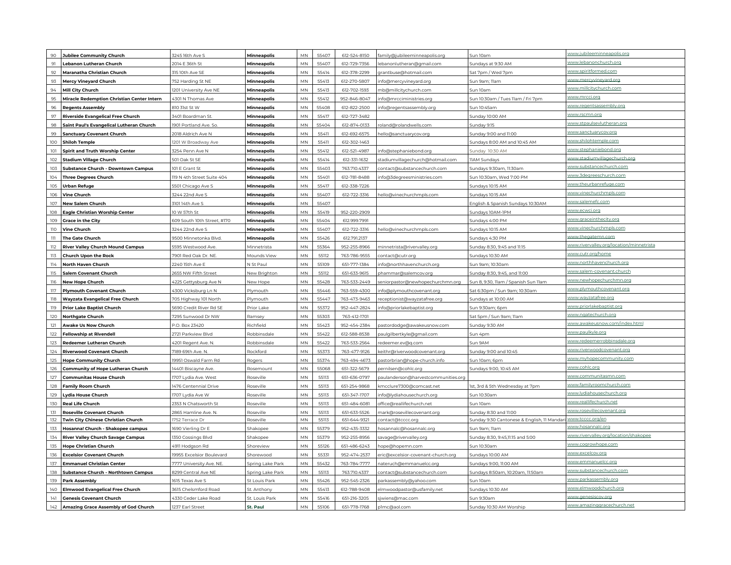| 90  | Jubilee Community Church                   | 3245 16th Ave S             | Minneapolis        | MN                     | 55407 | 612-524-8150 | family@jubileeminneapolis.org       | Sun 10am                                    | www.jubileeminneapolis.org               |
|-----|--------------------------------------------|-----------------------------|--------------------|------------------------|-------|--------------|-------------------------------------|---------------------------------------------|------------------------------------------|
| 91  | Lebanon Lutheran Church                    | 2014 E 36th St              | Minneapolis        | MN                     | 55407 | 612-729-7356 | lebanonlutheran@gmail.com           | Sundays at 9:30 AM                          | www.lebanonchurch.org                    |
| 92  | Maranatha Christian Church                 | 315 10th Ave SE             | <b>Minneapolis</b> | MN                     | 55414 | 612-378-2299 | grantbuse@hotmail.com               | Sat 7pm / Wed 7pm                           | www.spiritformed.com                     |
| 93  | Mercy Vineyard Church                      | 752 Harding St NE           | Minneapolis        | MN                     | 55413 | 612-270-5807 | info@mercyvineyard.org              | Sun 9am; Ilam                               | www.mercyvineyard.org                    |
| 94  | Mill City Church                           | 1201 University Ave NE      | Minneapolis        | MN                     | 55413 | 612-702-1593 | mb@millcitychurch.com               | Sun 10am                                    | <u>www.millcitychurch.com</u>            |
| 95  | Miracle Redemption Christian Center Intern | 4301 N Thomas Ave           | Minneapolis        | MN                     | 55412 | 952-846-8047 | info@mrcciministries.org            | Sun 10:30am / Tues 11am / Fri 7pm           | www.mrcci.ora                            |
| 96  | <b>Regents Assembly</b>                    | 810 31st St W               | Minneapolis        | <b>MN</b>              | 55408 | 612-822-2500 | info@regentsassembly.org            | Sun 10:45am                                 | www.regentsassembly.org                  |
| 97  | <b>Riverside Evangelical Free Church</b>   | 3401 Boardman St.           | <b>Minneapolis</b> | MN                     | 55417 | 612-727-3482 |                                     | Sunday 10:00 AM                             | www.rscmn.org                            |
| 98  | Saint Paul's Evangelical Lutheran Church   | 1901 Portland Ave. So.      | Minneapolis        | MN                     | 55404 | 612-874-0133 | roland@rolandwells.com              | Sunday 9:15                                 | www.stpaulsevlutheran.org                |
| 99  | <b>Sanctuary Covenant Church</b>           | 2018 Aldrich Ave N          | Minneapolis        | MN                     | 55411 | 612-692-6575 | hello@sanctuarycov.org              | Sunday 9:00 and 11:00                       | www.sanctuarycov.org                     |
|     | 100 Shiloh Temple                          | 1201 W Broadway Ave         | Minneapolis        | ${\sf MN}$             | 55411 | 612-302-1463 |                                     | Sundays 8:00 AM and 10:45 AM                | www.shilohtemple.com                     |
| 101 | Spirit and Truth Worship Center            | 3254 Penn Ave N             | Minneapolis        | <b>MN</b>              | 55412 | 612-521-4987 | info@stephaniebond.org              | Sunday 10:30 AM                             | www.stephaniebond.org                    |
| 102 | Stadium Village Church                     | 501 Oak St SE               | Minneapolis        | MN                     | 55414 | 612-331-1632 | stadiumvillagechurch@hotmail.com    | <b>11AM Sundays</b>                         | www.stadiumvillagechurch.org             |
| 103 | Substance Church - Downtown Campus         | 101 E Grant St              | Minneapolis        | <b>MN</b>              | 55403 | 763.710.4337 | contact@substancechurch.com         | Sundays 9:30am, 11:30am                     | www.substancechurch.com                  |
| 104 | Three Degrees Church                       | 119 N 4th Street Suite 404  | Minneapolis        | $\mathsf{MN}$          | 55401 | 612-781-8488 | info@3degreesministries.com         | Sun 10:30am, Wed 7:00 PM                    | www.3degreeschurch.com                   |
| 105 | <b>Urban Refuge</b>                        | 5501 Chicago Ave S          | Minneapolis        | MN                     | 55417 | 612-338-7226 |                                     | Sundays 10:15 AM                            | www.theurbanrefuge.com                   |
| 106 | Vine Church                                | 3244 22nd Ave S             | <b>Minneapolis</b> | MN                     | 55407 | 612-722-3316 | hello@vinechurchmpls.com            | Sundays 10:15 AM                            | www.vinechurchmpls.com                   |
| 107 | <b>New Salem Church</b>                    | 3101 14th Ave S             | Minneapolis        | MN                     | 55407 |              |                                     | English & Spanish Sundays 10:30AM           | www.salemefc.com                         |
| 108 | <b>Eagle Christian Worship Center</b>      | 10 W 57th St                | Minneapolis        | MN                     | 55419 | 952-220-2909 |                                     | Sundays 10AM-1PM                            | www.ecwci.org                            |
| 109 | <b>Grace in the City</b>                   | 609 South 10th Street, #170 | <b>Minneapolis</b> | MN                     | 55404 | 612.999.7991 |                                     | Sundays 4:00 PM                             | www.graceinthecity.org                   |
| 110 | Vine Church                                | 3244 22nd Ave S             | <b>Minneapolis</b> | MN                     | 55407 | 612-722-3316 | hello@vinechurchmpls.com            | Sundays 10:15 AM                            | www.vinechurchmpls.com                   |
| 111 | The Gate Church                            | 9500 Minnetonka Blvd.       | Minneapolis        | MN                     | 55426 | 612.791.2137 |                                     | Sundays 4:30 PM                             | www.theaatemn.com                        |
| 112 | <b>River Valley Church Mound Campus</b>    | 5595 Westwood Ave           | Minnetrista        | MN                     | 55364 | 952-255-8966 | minnetrista@rivervalley.org         | Sunday 8:30, 9:45 and 11:15                 | www.rivervalley.org/location/minnetrista |
| 113 | <b>Church Upon the Rock</b>                | 7901 Red Oak Dr. NE.        | Mounds View        | MN                     | 55112 | 763-786-9555 | contact@cutr.org                    | Sundays 10:30 AM                            | www.cutr.org/home                        |
| 114 | North Haven Church                         | 2240 15th Ave E             | N St Paul          | $\mathsf{M}\mathsf{N}$ | 55109 | 651-777-1384 | info@northhavenchurch.org           | Sun 9am; 10:30am                            | www.northhavenchurch.org                 |
| 115 | Salem Covenant Church                      | 2655 NW Fifth Street        | New Brighton       | <b>MN</b>              | 55112 | 651-633-9615 | phammar@salemcov.org                | Sunday 8:30, 9:45, and 11:00                | www.salem-covenant.church                |
| 116 | New Hope Church                            | 4225 Gettysburg Ave N       | New Hope           | MN                     | 55428 | 763-533-2449 | seniorpastor@newhopechurchmn.org    | Sun 8, 9:30, Ilam / Spanish Sun Ilam        | www.newhopechurchmn.org                  |
| 117 | <b>Plymouth Covenant Church</b>            | 4300 Vicksburg Ln N         | Plymouth           | MN                     | 55446 | 763-559-4300 | info@plymouthcovenant.org           | Sat 6:30pm / Sun 9am; 10:30am               | www.plymouthcovenant.org                 |
| 118 | Wayzata Evangelical Free Church            | 705 Highway 101 North       | Plymouth           | <b>MN</b>              | 55447 | 763-473-9463 | receptionist@wayzatafree.org        | Sundays at 10:00 AM                         | <u>www.wayzatafree.org</u>               |
| 119 | <b>Prior Lake Baptist Church</b>           | 5690 Credit River Rd SE     | Prior Lake         | MN                     | 55372 | 952-447-2824 | info@priorlakebaptist.org           | Sun 9:30am; 6pm                             | www.priorlakebaptist.org                 |
| 120 | Northgate Church                           | 7295 Sunwood Dr NW          | Ramsey             | MN                     | 55303 | 763-412-1701 |                                     | Sat 5pm / Sun 9am; Ilam                     | www.ngatechurch.org                      |
| 121 | Awake Us Now Church                        | P.O. Box 23420              | Richfield          | MN                     | 55423 | 952-454-2384 | pastordodge@awakeusnow.com          | Sunday 9:30 AM                              | www.awakeusnow.com/index.html            |
| 122 | <b>Fellowship at Rivendell</b>             | 2721 Parkview Blvd          | Robbinsdale        | MN                     | 55422 | 612-588-8538 | paulgilbertkyle@gmail.com           | Sun 4pm                                     | www.paulkyle.org                         |
| 123 | <b>Redeemer Lutheran Church</b>            | 4201 Regent Ave. N.         | Robbinsdale        | MN                     | 55422 | 763-533-2564 | redeemer.ev@q.com                   | Sun 9AM                                     | www.redeemerrobbinsdale.org              |
| 124 | <b>Riverwood Covenant Church</b>           | 7189 69th Ave. N.           | Rockford           | MN                     | 55373 | 763-477-9126 | keithr@riverwoodcovenant.org        | Sunday 9:00 and 10:45                       | www.riverwoodcovenant.org                |
| 125 | <b>Hope Community Church</b>               | 19951 Oswald Farm Rd        | Rogers             | MN                     | 55374 | 763-494-4673 | pastorbrian@hope-church.info        | Sun 10am; 6pm                               | www.myhopecommunity.com                  |
| 126 | Community of Hope Lutheran Church          | 14401 Biscayne Ave.         | Rosemount          | MN                     | 55068 | 651-322-5679 | pernilsen@cohlc.org                 | Sundays 9:00, 10:45 AM                      | www.cohlc.org                            |
| 127 | Communitas House Church                    | 1707 Lydia Ave. West        | Roseville          | <b>MN</b>              | 55113 | 651-636-0797 | paulanderson@harvestcommunities.org |                                             | www.communitasmn.com                     |
| 128 | <b>Family Room Church</b>                  | 1476 Centennial Drive       | Roseville          | MN                     | 55113 | 651-254-9868 | kmcclure7300@comcast.net            | lst, 3rd & 5th Wednesday at 7pm             | www.familvroomchurch.com                 |
| 129 | Lydia House Church                         | 1707 Lydia Ave W            | Roseville          | MN                     | 55113 | 651-347-1707 | info@lydiahousechurch.org           | Sun 10:30am                                 | www.lydiahousechurch.org                 |
| 130 | Real Life Church                           | 2353 N Chatsworth St        | Roseville          | MN                     | 55113 | 651-484-6081 | office@reallifechurch.net           | Sun 10am                                    | www.reallifechurch.net                   |
| 131 | <b>Roseville Covenant Church</b>           | 2865 Hamline Ave. N.        | Roseville          | MN                     | 55113 | 651-633-5526 | mark@rosevillecovenant.org          | Sunday 8:30 and 11:00                       | www.rosevillecovenant.org                |
| 132 | Twin City Chinese Christian Church         | 1752 Terrace Dr             | Roseville          | $\mathsf{MN}$          | 55113 | 651-644-9321 | contact@tcccc.org                   | Sunday 9:30 Cantonese & English, 11 Mandari | <u>www.tcccc.org/en</u>                  |
| 133 | Hosanna! Church - Shakopee campus          | 1690 Vierling Dr E          | Shakopee           | MN                     | 55379 | 952-435-3332 | hosannalc@hosannalc.org             | Sun 9am; llam                               | <u>www.hosannalc.orc</u>                 |
| 134 | <b>River Valley Church Savage Campus</b>   | 1350 Cossings Blvd          | Shakopee           | MN                     | 55379 | 952-255-8956 | savage@rivervalley.org              | Sunday 8:30, 9:45,11:15 and 5:00            | www.rivervalley.org/location/shakopee    |
| 135 | <b>Hope Christian Church</b>               | 4911 Hodgson Rd             | Shoreview          | MN                     | 55126 | 651-486-6243 | hope@hopemn.com                     | Sun 10:30am                                 | www.cogrowhope.com                       |
| 136 | <b>Excelsior Covenant Church</b>           | 19955 Excelsior Boulevard   | Shorewood          | <b>MN</b>              | 55331 | 952-474-2537 | eric@excelsior-covenant-church.org  | Sundays 10:00 AM                            | www.excelcov.org                         |
| 137 | <b>Emmanuel Christian Center</b>           | 7777 University Ave. NE.    | Spring Lake Park   | MN                     | 55432 | 763-784-7777 | nateruch@emmanuelcc.org             | Sundays 9:00, 11:00 AM                      | www.emmanuelcc.org                       |
| 138 | Substance Church - Northtown Campus        | 8299 Central Ave NE         | Spring Lake Park   | <b>MN</b>              | 55113 | 763.710.4337 | contact@substancechurch.com         | Sundays 8:50am, 10:20am, 11:50am            | www.substancechurch.com                  |
| 139 | <b>Park Assembly</b>                       | 1615 Texas Ave S            | St Louis Park      | MN                     | 55426 | 952-545-2326 | parkassembly@yahoo.com              | Sun 10am                                    | www.parkassembly.org                     |
| 140 | <b>Elmwood Evangelical Free Church</b>     | 3615 Chelsmford Road        | St. Anthony        | MN                     | 55413 | 612-788-9408 | elmwoodpastor@usfamily.net          | Sundays 10:30 AM                            | www.elmwoodchurch.org                    |
| 141 | <b>Genesis Covenant Church</b>             | 4330 Ceder Lake Road        | St. Louis Park     | MN                     | 55416 | 651-216-3205 | sjwiens@mac.com                     | Sun 9:30am                                  | www.genesiscov.org                       |
|     | 142 Amazing Grace Assembly of God Church   | 1237 Earl Street            | St. Paul           | MN                     | 55106 | 651-778-1768 | p1mc@aol.com                        | Sunday 10:30 AM Worship                     | www.amazinggracechurch.net               |